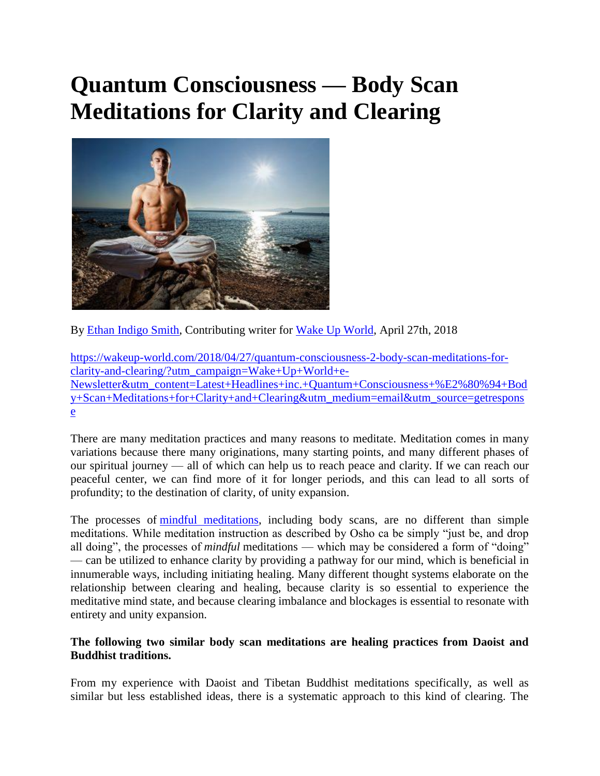# **Quantum Consciousness — Body Scan Meditations for Clarity and Clearing**



By [Ethan Indigo Smith,](https://wakeup-world.com/category/contributing-writers/ethan-indigo-smith/) Contributing writer for [Wake Up World,](https://wakeup-world.com/2018/04/27/quantum-consciousness-2-body-scan-meditations-for-clarity-and-clearing/) April 27th, 2018

[https://wakeup-world.com/2018/04/27/quantum-consciousness-2-body-scan-meditations-for](https://wakeup-world.com/2018/04/27/quantum-consciousness-2-body-scan-meditations-for-clarity-and-clearing/?utm_campaign=Wake+Up+World+e-Newsletter&utm_content=Latest+Headlines+inc.+Quantum+Consciousness+%E2%80%94+Body+Scan+Meditations+for+Clarity+and+Clearing&utm_medium=email&utm_source=getresponse)[clarity-and-clearing/?utm\\_campaign=Wake+Up+World+e-](https://wakeup-world.com/2018/04/27/quantum-consciousness-2-body-scan-meditations-for-clarity-and-clearing/?utm_campaign=Wake+Up+World+e-Newsletter&utm_content=Latest+Headlines+inc.+Quantum+Consciousness+%E2%80%94+Body+Scan+Meditations+for+Clarity+and+Clearing&utm_medium=email&utm_source=getresponse)[Newsletter&utm\\_content=Latest+Headlines+inc.+Quantum+Consciousness+%E2%80%94+Bod](https://wakeup-world.com/2018/04/27/quantum-consciousness-2-body-scan-meditations-for-clarity-and-clearing/?utm_campaign=Wake+Up+World+e-Newsletter&utm_content=Latest+Headlines+inc.+Quantum+Consciousness+%E2%80%94+Body+Scan+Meditations+for+Clarity+and+Clearing&utm_medium=email&utm_source=getresponse) [y+Scan+Meditations+for+Clarity+and+Clearing&utm\\_medium=email&utm\\_source=getrespons](https://wakeup-world.com/2018/04/27/quantum-consciousness-2-body-scan-meditations-for-clarity-and-clearing/?utm_campaign=Wake+Up+World+e-Newsletter&utm_content=Latest+Headlines+inc.+Quantum+Consciousness+%E2%80%94+Body+Scan+Meditations+for+Clarity+and+Clearing&utm_medium=email&utm_source=getresponse) [e](https://wakeup-world.com/2018/04/27/quantum-consciousness-2-body-scan-meditations-for-clarity-and-clearing/?utm_campaign=Wake+Up+World+e-Newsletter&utm_content=Latest+Headlines+inc.+Quantum+Consciousness+%E2%80%94+Body+Scan+Meditations+for+Clarity+and+Clearing&utm_medium=email&utm_source=getresponse)

There are many meditation practices and many reasons to meditate. Meditation comes in many variations because there many originations, many starting points, and many different phases of our spiritual journey — all of which can help us to reach peace and clarity. If we can reach our peaceful center, we can find more of it for longer periods, and this can lead to all sorts of profundity; to the destination of clarity, of unity expansion.

The processes of [mindful meditations,](https://wakeup-world.com/2017/11/16/techniques-for-practicing-mindfulness-and-meditation/) including body scans, are no different than simple meditations. While meditation instruction as described by Osho ca be simply "just be, and drop all doing", the processes of *mindful* meditations — which may be considered a form of "doing" — can be utilized to enhance clarity by providing a pathway for our mind, which is beneficial in innumerable ways, including initiating healing. Many different thought systems elaborate on the relationship between clearing and healing, because clarity is so essential to experience the meditative mind state, and because clearing imbalance and blockages is essential to resonate with entirety and unity expansion.

#### **The following two similar body scan meditations are healing practices from Daoist and Buddhist traditions.**

From my experience with Daoist and Tibetan Buddhist meditations specifically, as well as similar but less established ideas, there is a systematic approach to this kind of clearing. The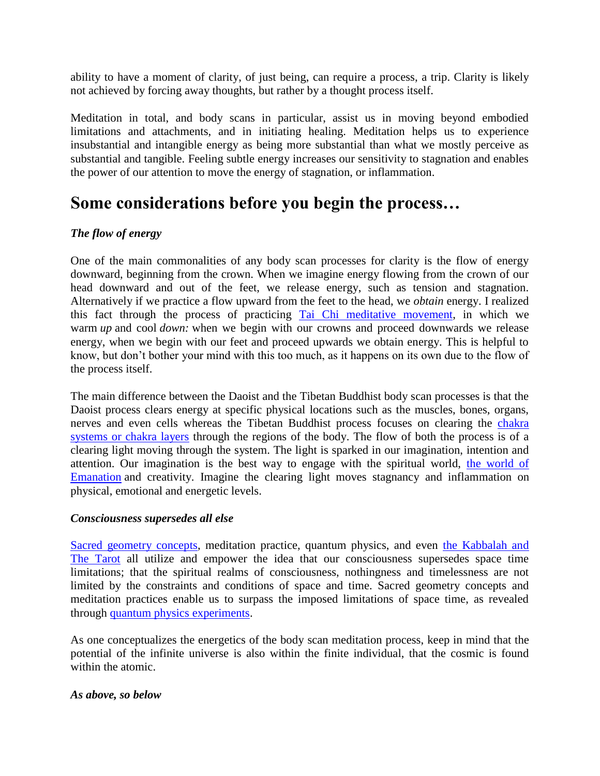ability to have a moment of clarity, of just being, can require a process, a trip. Clarity is likely not achieved by forcing away thoughts, but rather by a thought process itself.

Meditation in total, and body scans in particular, assist us in moving beyond embodied limitations and attachments, and in initiating healing. Meditation helps us to experience insubstantial and intangible energy as being more substantial than what we mostly perceive as substantial and tangible. Feeling subtle energy increases our sensitivity to stagnation and enables the power of our attention to move the energy of stagnation, or inflammation.

### **Some considerations before you begin the process…**

#### *The flow of energy*

One of the main commonalities of any body scan processes for clarity is the flow of energy downward, beginning from the crown. When we imagine energy flowing from the crown of our head downward and out of the feet, we release energy, such as tension and stagnation. Alternatively if we practice a flow upward from the feet to the head, we *obtain* energy. I realized this fact through the process of practicing [Tai Chi meditative movement,](https://wakeup-world.com/2015/06/29/the-healing-benefits-of-tapping-and-tai-chi/) in which we warm *up* and cool *down:* when we begin with our crowns and proceed downwards we release energy, when we begin with our feet and proceed upwards we obtain energy. This is helpful to know, but don't bother your mind with this too much, as it happens on its own due to the flow of the process itself.

The main difference between the Daoist and the Tibetan Buddhist body scan processes is that the Daoist process clears energy at specific physical locations such as the muscles, bones, organs, nerves and even cells whereas the Tibetan Buddhist process focuses on clearing the [chakra](https://wakeup-world.com/2018/04/09/understanding-the-chakras-and-how-they-impact-our-outer-life/)  [systems or chakra layers](https://wakeup-world.com/2018/04/09/understanding-the-chakras-and-how-they-impact-our-outer-life/) through the regions of the body. The flow of both the process is of a clearing light moving through the system. The light is sparked in our imagination, intention and attention. Our imagination is the best way to engage with the spiritual world, [the world of](https://wakeup-world.com/2018/04/16/metaphysics-the-sacred-geometry-of-unity-consciousness/)  [Emanation](https://wakeup-world.com/2018/04/16/metaphysics-the-sacred-geometry-of-unity-consciousness/) and creativity. Imagine the clearing light moves stagnancy and inflammation on physical, emotional and energetic levels.

#### *Consciousness supersedes all else*

[Sacred geometry concepts,](https://wakeup-world.com/2015/11/14/understanding-ascension-the-geometry-of-energy/) meditation practice, quantum physics, and even [the Kabbalah and](https://wakeup-world.com/2018/04/16/metaphysics-the-sacred-geometry-of-unity-consciousness/)  [The Tarot](https://wakeup-world.com/2018/04/16/metaphysics-the-sacred-geometry-of-unity-consciousness/) all utilize and empower the idea that our consciousness supersedes space time limitations; that the spiritual realms of consciousness, nothingness and timelessness are not limited by the constraints and conditions of space and time. Sacred geometry concepts and meditation practices enable us to surpass the imposed limitations of space time, as revealed through [quantum physics experiments.](https://wakeup-world.com/2015/02/20/time-travel-through-the-eternal-now/)

As one conceptualizes the energetics of the body scan meditation process, keep in mind that the potential of the infinite universe is also within the finite individual, that the cosmic is found within the atomic.

#### *As above, so below*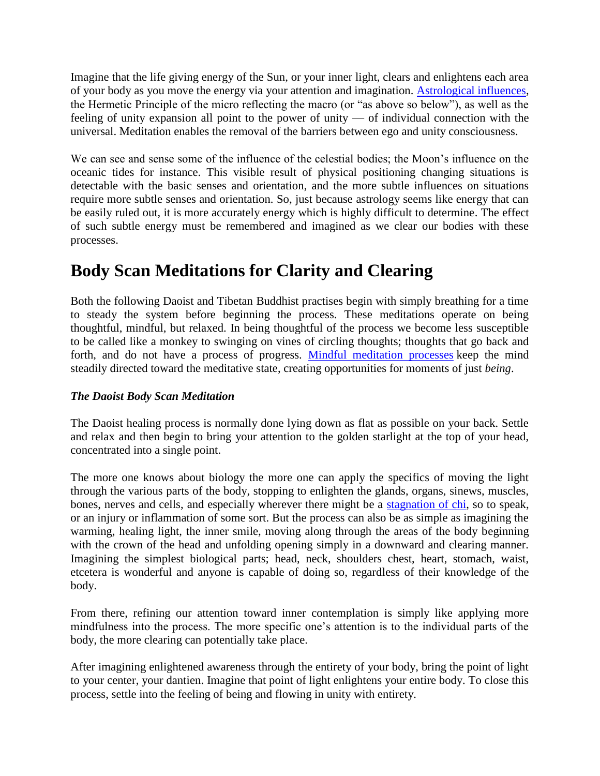Imagine that the life giving energy of the Sun, or your inner light, clears and enlightens each area of your body as you move the energy via your attention and imagination. [Astrological influences,](https://wakeup-world.com/category/esoteric-knowledge/astrology-esoteric-knowledge/) the Hermetic Principle of the micro reflecting the macro (or "as above so below"), as well as the feeling of unity expansion all point to the power of unity — of individual connection with the universal. Meditation enables the removal of the barriers between ego and unity consciousness.

We can see and sense some of the influence of the celestial bodies; the Moon's influence on the oceanic tides for instance. This visible result of physical positioning changing situations is detectable with the basic senses and orientation, and the more subtle influences on situations require more subtle senses and orientation. So, just because astrology seems like energy that can be easily ruled out, it is more accurately energy which is highly difficult to determine. The effect of such subtle energy must be remembered and imagined as we clear our bodies with these processes.

### **Body Scan Meditations for Clarity and Clearing**

Both the following Daoist and Tibetan Buddhist practises begin with simply breathing for a time to steady the system before beginning the process. These meditations operate on being thoughtful, mindful, but relaxed. In being thoughtful of the process we become less susceptible to be called like a monkey to swinging on vines of circling thoughts; thoughts that go back and forth, and do not have a process of progress. [Mindful meditation processes](https://wakeup-world.com/2017/11/16/techniques-for-practicing-mindfulness-and-meditation/) keep the mind steadily directed toward the meditative state, creating opportunities for moments of just *being*.

#### *The Daoist Body Scan Meditation*

The Daoist healing process is normally done lying down as flat as possible on your back. Settle and relax and then begin to bring your attention to the golden starlight at the top of your head, concentrated into a single point.

The more one knows about biology the more one can apply the specifics of moving the light through the various parts of the body, stopping to enlighten the glands, organs, sinews, muscles, bones, nerves and cells, and especially wherever there might be a [stagnation of chi,](https://wakeup-world.com/2014/04/28/what-is-chi-exploring-our-eternal-reality/) so to speak, or an injury or inflammation of some sort. But the process can also be as simple as imagining the warming, healing light, the inner smile, moving along through the areas of the body beginning with the crown of the head and unfolding opening simply in a downward and clearing manner. Imagining the simplest biological parts; head, neck, shoulders chest, heart, stomach, waist, etcetera is wonderful and anyone is capable of doing so, regardless of their knowledge of the body.

From there, refining our attention toward inner contemplation is simply like applying more mindfulness into the process. The more specific one's attention is to the individual parts of the body, the more clearing can potentially take place.

After imagining enlightened awareness through the entirety of your body, bring the point of light to your center, your dantien. Imagine that point of light enlightens your entire body. To close this process, settle into the feeling of being and flowing in unity with entirety.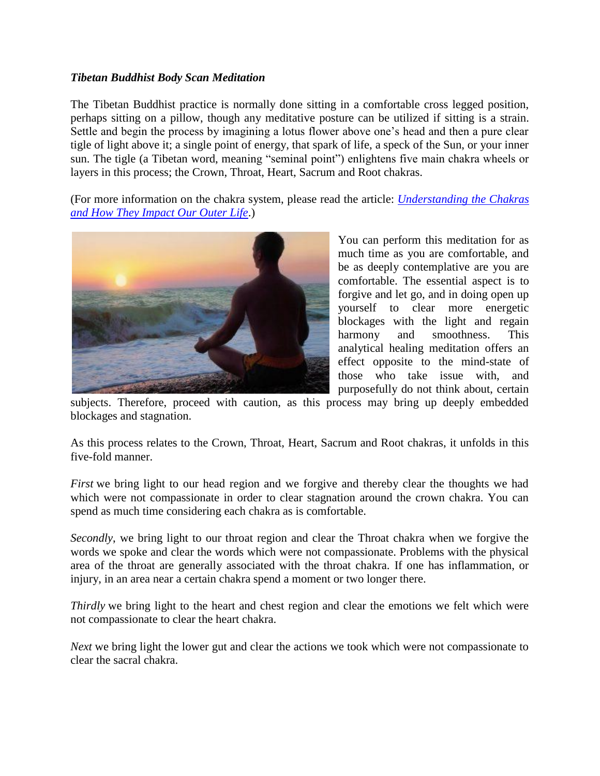#### *Tibetan Buddhist Body Scan Meditation*

The Tibetan Buddhist practice is normally done sitting in a comfortable cross legged position, perhaps sitting on a pillow, though any meditative posture can be utilized if sitting is a strain. Settle and begin the process by imagining a lotus flower above one's head and then a pure clear tigle of light above it; a single point of energy, that spark of life, a speck of the Sun, or your inner sun. The tigle (a Tibetan word, meaning "seminal point") enlightens five main chakra wheels or layers in this process; the Crown, Throat, Heart, Sacrum and Root chakras.

(For more information on the chakra system, please read the article: *[Understanding the Chakras](https://wakeup-world.com/2018/04/09/understanding-the-chakras-and-how-they-impact-our-outer-life/)  [and How They Impact Our Outer Life](https://wakeup-world.com/2018/04/09/understanding-the-chakras-and-how-they-impact-our-outer-life/)*.)



You can perform this meditation for as much time as you are comfortable, and be as deeply contemplative are you are comfortable. The essential aspect is to forgive and let go, and in doing open up yourself to clear more energetic blockages with the light and regain harmony and smoothness. This analytical healing meditation offers an effect opposite to the mind-state of those who take issue with, and purposefully do not think about, certain

subjects. Therefore, proceed with caution, as this process may bring up deeply embedded blockages and stagnation.

As this process relates to the Crown, Throat, Heart, Sacrum and Root chakras, it unfolds in this five-fold manner.

*First* we bring light to our head region and we forgive and thereby clear the thoughts we had which were not compassionate in order to clear stagnation around the crown chakra. You can spend as much time considering each chakra as is comfortable.

*Secondly*, we bring light to our throat region and clear the Throat chakra when we forgive the words we spoke and clear the words which were not compassionate. Problems with the physical area of the throat are generally associated with the throat chakra. If one has inflammation, or injury, in an area near a certain chakra spend a moment or two longer there.

*Thirdly* we bring light to the heart and chest region and clear the emotions we felt which were not compassionate to clear the heart chakra.

*Next* we bring light the lower gut and clear the actions we took which were not compassionate to clear the sacral chakra.